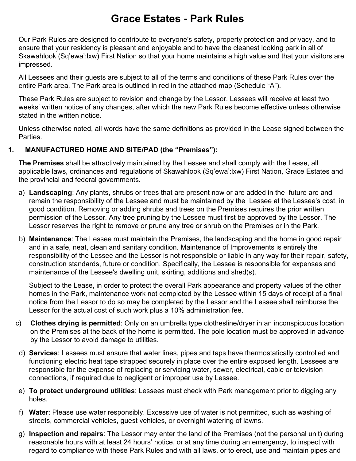# **Grace Estates - Park Rules**

Our Park Rules are designed to contribute to everyone's safety, property protection and privacy, and to ensure that your residency is pleasant and enjoyable and to have the cleanest looking park in all of Skawahlook (Sq'ewa':lxw) First Nation so that your home maintains a high value and that your visitors are impressed.

All Lessees and their guests are subject to all of the terms and conditions of these Park Rules over the entire Park area. The Park area is outlined in red in the attached map (Schedule "A").

These Park Rules are subject to revision and change by the Lessor. Lessees will receive at least two weeks' written notice of any changes, after which the new Park Rules become effective unless otherwise stated in the written notice.

Unless otherwise noted, all words have the same definitions as provided in the Lease signed between the Parties.

#### **1. MANUFACTURED HOME AND SITE/PAD (the "Premises"):**

**The Premises** shall be attractively maintained by the Lessee and shall comply with the Lease, all applicable laws, ordinances and regulations of Skawahlook (Sq'ewa':lxw) First Nation, Grace Estates and the provincial and federal governments.

- a) **Landscaping**: Any plants, shrubs or trees that are present now or are added in the future are and remain the responsibility of the Lessee and must be maintained by the Lessee at the Lessee's cost, in good condition. Removing or adding shrubs and trees on the Premises requires the prior written permission of the Lessor. Any tree pruning by the Lessee must first be approved by the Lessor. The Lessor reserves the right to remove or prune any tree or shrub on the Premises or in the Park.
- b) **Maintenance**: The Lessee must maintain the Premises, the landscaping and the home in good repair and in a safe, neat, clean and sanitary condition. Maintenance of Improvements is entirely the responsibility of the Lessee and the Lessor is not responsible or liable in any way for their repair, safety, construction standards, future or condition. Specifically, the Lessee is responsible for expenses and maintenance of the Lessee's dwelling unit, skirting, additions and shed(s).

Subject to the Lease, in order to protect the overall Park appearance and property values of the other homes in the Park, maintenance work not completed by the Lessee within 15 days of receipt of a final notice from the Lessor to do so may be completed by the Lessor and the Lessee shall reimburse the Lessor for the actual cost of such work plus a 10% administration fee.

- c) **Clothes drying is permitted**: Only on an umbrella type clothesline/dryer in an inconspicuous location on the Premises at the back of the home is permitted. The pole location must be approved in advance by the Lessor to avoid damage to utilities.
- d) **Services**: Lessees must ensure that water lines, pipes and taps have thermostatically controlled and functioning electric heat tape strapped securely in place over the entire exposed length. Lessees are responsible for the expense of replacing or servicing water, sewer, electrical, cable or television connections, if required due to negligent or improper use by Lessee.
- e) **To protect underground utilities**: Lessees must check with Park management prior to digging any holes.
- f) **Water**: Please use water responsibly. Excessive use of water is not permitted, such as washing of streets, commercial vehicles, guest vehicles, or overnight watering of lawns.
- g) **Inspection and repairs**: The Lessor may enter the land of the Premises (not the personal unit) during reasonable hours with at least 24 hours' notice, or at any time during an emergency, to inspect with regard to compliance with these Park Rules and with all laws, or to erect, use and maintain pipes and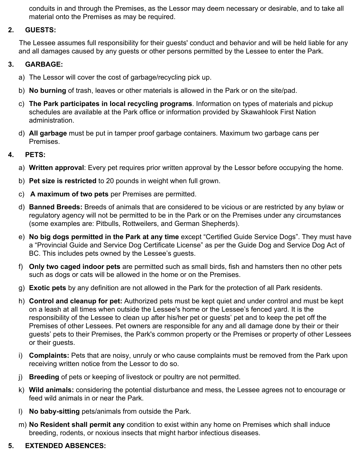conduits in and through the Premises, as the Lessor may deem necessary or desirable, and to take all material onto the Premises as may be required.

#### **2. GUESTS:**

The Lessee assumes full responsibility for their guests' conduct and behavior and will be held liable for any and all damages caused by any guests or other persons permitted by the Lessee to enter the Park.

#### **3. GARBAGE:**

- a) The Lessor will cover the cost of garbage/recycling pick up.
- b) **No burning** of trash, leaves or other materials is allowed in the Park or on the site/pad.
- c) **The Park participates in local recycling programs**. Information on types of materials and pickup schedules are available at the Park office or information provided by Skawahlook First Nation administration.
- d) **All garbage** must be put in tamper proof garbage containers. Maximum two garbage cans per Premises.

#### **4. PETS:**

- a) **Written approval**: Every pet requires prior written approval by the Lessor before occupying the home.
- b) **Pet size is restricted** to 20 pounds in weight when full grown.
- c) **A maximum of two pets** per Premises are permitted.
- d) **Banned Breeds:** Breeds of animals that are considered to be vicious or are restricted by any bylaw or regulatory agency will not be permitted to be in the Park or on the Premises under any circumstances (some examples are: Pitbulls, Rottweilers, and German Shepherds).
- e) **No big dogs permitted in the Park at any time** except "Certified Guide Service Dogs". They must have a "Provincial Guide and Service Dog Certificate License" as per the Guide Dog and Service Dog Act of BC. This includes pets owned by the Lessee's guests.
- f) **Only two caged indoor pets** are permitted such as small birds, fish and hamsters then no other pets such as dogs or cats will be allowed in the home or on the Premises.
- g) **Exotic pets** by any definition are not allowed in the Park for the protection of all Park residents.
- h) **Control and cleanup for pet:** Authorized pets must be kept quiet and under control and must be kept on a leash at all times when outside the Lessee's home or the Lessee's fenced yard. It is the responsibility of the Lessee to clean up after his/her pet or guests' pet and to keep the pet off the Premises of other Lessees. Pet owners are responsible for any and all damage done by their or their guests' pets to their Premises, the Park's common property or the Premises or property of other Lessees or their guests.
- i) **Complaints:** Pets that are noisy, unruly or who cause complaints must be removed from the Park upon receiving written notice from the Lessor to do so.
- j) **Breeding** of pets or keeping of livestock or poultry are not permitted.
- k) **Wild animals:** considering the potential disturbance and mess, the Lessee agrees not to encourage or feed wild animals in or near the Park.
- l) **No baby-sitting** pets/animals from outside the Park.
- m) **No Resident shall permit any** condition to exist within any home on Premises which shall induce breeding, rodents, or noxious insects that might harbor infectious diseases.

# **5. EXTENDED ABSENCES:**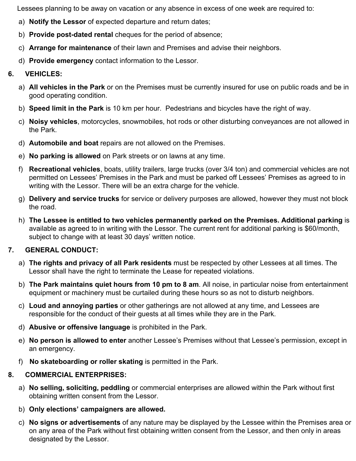Lessees planning to be away on vacation or any absence in excess of one week are required to:

- a) **Notify the Lessor** of expected departure and return dates;
- b) **Provide post-dated rental** cheques for the period of absence;
- c) **Arrange for maintenance** of their lawn and Premises and advise their neighbors.
- d) **Provide emergency** contact information to the Lessor.

## **6. VEHICLES:**

- a) **All vehicles in the Park** or on the Premises must be currently insured for use on public roads and be in good operating condition.
- b) **Speed limit in the Park** is 10 km per hour. Pedestrians and bicycles have the right of way.
- c) **Noisy vehicles**, motorcycles, snowmobiles, hot rods or other disturbing conveyances are not allowed in the Park.
- d) **Automobile and boat** repairs are not allowed on the Premises.
- e) **No parking is allowed** on Park streets or on lawns at any time.
- f) **Recreational vehicles**, boats, utility trailers, large trucks (over 3/4 ton) and commercial vehicles are not permitted on Lessees' Premises in the Park and must be parked off Lessees' Premises as agreed to in writing with the Lessor. There will be an extra charge for the vehicle.
- g) **Delivery and service trucks** for service or delivery purposes are allowed, however they must not block the road.
- h) **The Lessee is entitled to two vehicles permanently parked on the Premises. Additional parking** is available as agreed to in writing with the Lessor. The current rent for additional parking is \$60/month, subject to change with at least 30 days' written notice.

# **7. GENERAL CONDUCT:**

- a) **The rights and privacy of all Park residents** must be respected by other Lessees at all times. The Lessor shall have the right to terminate the Lease for repeated violations.
- b) **The Park maintains quiet hours from 10 pm to 8 am**. All noise, in particular noise from entertainment equipment or machinery must be curtailed during these hours so as not to disturb neighbors.
- c) **Loud and annoying parties** or other gatherings are not allowed at any time, and Lessees are responsible for the conduct of their guests at all times while they are in the Park.
- d) **Abusive or offensive language** is prohibited in the Park.
- e) **No person is allowed to enter** another Lessee's Premises without that Lessee's permission, except in an emergency.
- f) **No skateboarding or roller skating** is permitted in the Park.

# **8. COMMERCIAL ENTERPRISES:**

- a) **No selling, soliciting, peddling** or commercial enterprises are allowed within the Park without first obtaining written consent from the Lessor.
- b) **Only elections' campaigners are allowed.**
- c) **No signs or advertisements** of any nature may be displayed by the Lessee within the Premises area or on any area of the Park without first obtaining written consent from the Lessor, and then only in areas designated by the Lessor.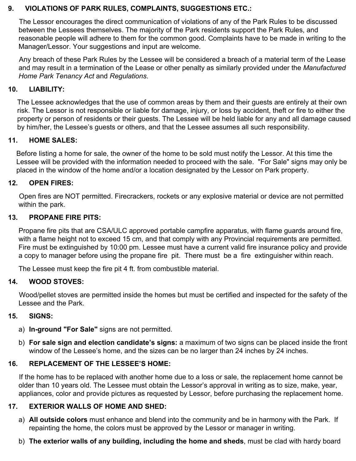### **9. VIOLATIONS OF PARK RULES, COMPLAINTS, SUGGESTIONS ETC.:**

The Lessor encourages the direct communication of violations of any of the Park Rules to be discussed between the Lessees themselves. The majority of the Park residents support the Park Rules, and reasonable people will adhere to them for the common good. Complaints have to be made in writing to the Manager/Lessor. Your suggestions and input are welcome.

Any breach of these Park Rules by the Lessee will be considered a breach of a material term of the Lease and may result in a termination of the Lease or other penalty as similarly provided under the *Manufactured Home Park Tenancy Act* and *Regulations*.

#### **10. LIABILITY:**

The Lessee acknowledges that the use of common areas by them and their guests are entirely at their own risk. The Lessor is not responsible or liable for damage, injury, or loss by accident, theft or fire to either the property or person of residents or their guests. The Lessee will be held liable for any and all damage caused by him/her, the Lessee's guests or others, and that the Lessee assumes all such responsibility.

#### **11. HOME SALES:**

Before listing a home for sale, the owner of the home to be sold must notify the Lessor. At this time the Lessee will be provided with the information needed to proceed with the sale. "For Sale" signs may only be placed in the window of the home and/or a location designated by the Lessor on Park property.

#### **12. OPEN FIRES:**

Open fires are NOT permitted. Firecrackers, rockets or any explosive material or device are not permitted within the park.

#### **13. PROPANE FIRE PITS:**

Propane fire pits that are CSA/ULC approved portable campfire apparatus, with flame guards around fire, with a flame height not to exceed 15 cm, and that comply with any Provincial requirements are permitted. Fire must be extinguished by 10:00 pm. Lessee must have a current valid fire insurance policy and provide a copy to manager before using the propane fire pit. There must be a fire extinguisher within reach.

The Lessee must keep the fire pit 4 ft. from combustible material.

#### **14. WOOD STOVES:**

Wood/pellet stoves are permitted inside the homes but must be certified and inspected for the safety of the Lessee and the Park.

#### **15. SIGNS:**

- a) **In-ground "For Sale"** signs are not permitted.
- b) **For sale sign and election candidate's signs:** a maximum of two signs can be placed inside the front window of the Lessee's home, and the sizes can be no larger than 24 inches by 24 inches.

#### **16. REPLACEMENT OF THE LESSEE'S HOME:**

If the home has to be replaced with another home due to a loss or sale, the replacement home cannot be older than 10 years old. The Lessee must obtain the Lessor's approval in writing as to size, make, year, appliances, color and provide pictures as requested by Lessor, before purchasing the replacement home.

#### **17. EXTERIOR WALLS OF HOME AND SHED:**

- a) **All outside colors** must enhance and blend into the community and be in harmony with the Park. If repainting the home, the colors must be approved by the Lessor or manager in writing.
- b) **The exterior walls of any building, including the home and sheds**, must be clad with hardy board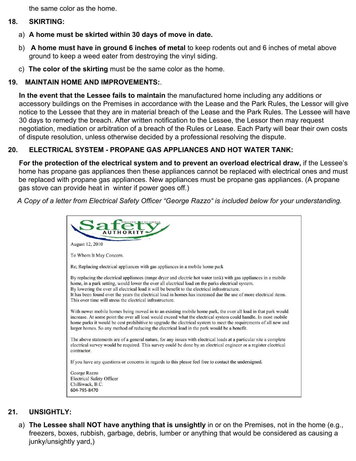the same color as the home.

#### **18. SKIRTING:**

- a) **A home must be skirted within 30 days of move in date.**
- b) **A home must have in ground 6 inches of metal** to keep rodents out and 6 inches of metal above ground to keep a weed eater from destroying the vinyl siding.
- c) **The color of the skirting** must be the same color as the home.

#### **19. MAINTAIN HOME AND IMPROVEMENTS:**.

**In the event that the Lessee fails to maintain** the manufactured home including any additions or accessory buildings on the Premises in accordance with the Lease and the Park Rules, the Lessor will give notice to the Lessee that they are in material breach of the Lease and the Park Rules. The Lessee will have 30 days to remedy the breach. After written notification to the Lessee, the Lessor then may request negotiation, mediation or arbitration of a breach of the Rules or Lease. Each Party will bear their own costs of dispute resolution, unless otherwise decided by a professional resolving the dispute.

# **20. ELECTRICAL SYSTEM - PROPANE GAS APPLIANCES AND HOT WATER TANK:**

**For the protection of the electrical system and to prevent an overload electrical draw,** if the Lessee's home has propane gas appliances then these appliances cannot be replaced with electrical ones and must be replaced with propane gas appliances. New appliances must be propane gas appliances. (A propane gas stove can provide heat in winter if power goes off.)

*A Copy of a letter from Electrical Safety Officer "George Razzo" is included below for your understanding.*

| COLUMBIA                                                                                                                                                                                                                                                                                                                                                                                                                                                                                                 |
|----------------------------------------------------------------------------------------------------------------------------------------------------------------------------------------------------------------------------------------------------------------------------------------------------------------------------------------------------------------------------------------------------------------------------------------------------------------------------------------------------------|
| August 12, 2010                                                                                                                                                                                                                                                                                                                                                                                                                                                                                          |
| To Whom It May Concern.                                                                                                                                                                                                                                                                                                                                                                                                                                                                                  |
| Re; Replacing electrical appliances with gas appliances in a mobile home park                                                                                                                                                                                                                                                                                                                                                                                                                            |
| By replacing the electrical appliances (range dryer and electric hot water tank) with gas appliances in a mobile<br>home, in a park setting, would lower the over all electrical load on the parks electrical system.<br>By lowering the over all electrical load it will be benefit to the electrical infrastructure.<br>It has been found over the years the electrical load in homes has increased due the use of more electrical items.<br>This over time will stress the electrical infrastructure. |
| With newer mobile homes being moved in to an existing mobile home park, the over all load in that park would<br>increase. At some point the over all load would exceed what the electrical system could handle. In most mobile<br>home parks it would be cost prohibitive to upgrade the electrical system to meet the requirements of all new and<br>larger homes. So any method of reducing the electrical load in the park would be a benefit.                                                        |
| The above statements are of a general nature, for any issues with electrical loads at a particular site a complete<br>electrical survey would be required. This survey could be done by an electrical engineer or a register electrical<br>contractor.                                                                                                                                                                                                                                                   |
| If you have any questions or concerns in regards to this please feel free to contact the undersigned.                                                                                                                                                                                                                                                                                                                                                                                                    |
| George Razzo<br><b>Electrical Safety Officer</b><br>Chilliwack, B.C.<br>604-795-8470                                                                                                                                                                                                                                                                                                                                                                                                                     |

#### **21. UNSIGHTLY:**

a) **The Lessee shall NOT have anything that is unsightly** in or on the Premises, not in the home (e.g., freezers, boxes, rubbish, garbage, debris, lumber or anything that would be considered as causing a junky/unsightly yard,)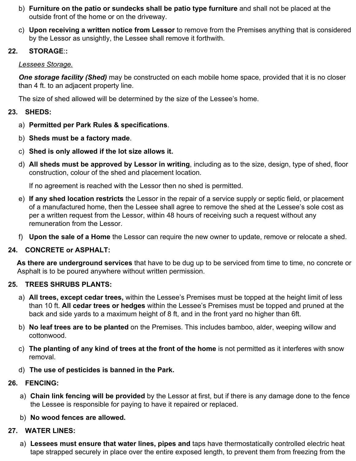- b) **Furniture on the patio or sundecks shall be patio type furniture** and shall not be placed at the outside front of the home or on the driveway.
- c) **Upon receiving a written notice from Lessor** to remove from the Premises anything that is considered by the Lessor as unsightly, the Lessee shall remove it forthwith.

#### **22. STORAGE**:**:**

#### *Lessees Storage.*

*One storage facility (Shed)* may be constructed on each mobile home space, provided that it is no closer than 4 ft. to an adjacent property line.

The size of shed allowed will be determined by the size of the Lessee's home.

# **23. SHEDS:**

- a) **Permitted per Park Rules & specifications**.
- b) **Sheds must be a factory made**.
- c) **Shed is only allowed if the lot size allows it.**
- d) **All sheds must be approved by Lessor in writing**, including as to the size, design, type of shed, floor construction, colour of the shed and placement location.

If no agreement is reached with the Lessor then no shed is permitted.

- e) **If any shed location restricts** the Lessor in the repair of a service supply or septic field, or placement of a manufactured home, then the Lessee shall agree to remove the shed at the Lessee's sole cost as per a written request from the Lessor, within 48 hours of receiving such a request without any remuneration from the Lessor.
- f) **Upon the sale of a Home** the Lessor can require the new owner to update, remove or relocate a shed.

#### **24. CONCRETE or ASPHALT:**

**As there are underground services** that have to be dug up to be serviced from time to time, no concrete or Asphalt is to be poured anywhere without written permission.

#### **25. TREES SHRUBS PLANTS:**

- a) **All trees, except cedar trees,** within the Lessee's Premises must be topped at the height limit of less than 10 ft. **All cedar trees or hedges** within the Lessee's Premises must be topped and pruned at the back and side yards to a maximum height of 8 ft, and in the front yard no higher than 6ft.
- b) **No leaf trees are to be planted** on the Premises. This includes bamboo, alder, weeping willow and cottonwood.
- c) **The planting of any kind of trees at the front of the home** is not permitted as it interferes with snow removal.
- d) **The use of pesticides is banned in the Park.**

#### **26. FENCING:**

- a) **Chain link fencing will be provided** by the Lessor at first, but if there is any damage done to the fence the Lessee is responsible for paying to have it repaired or replaced.
- b) **No wood fences are allowed.**

#### **27. WATER LINES:**

a) **Lessees must ensure that water lines, pipes and** taps have thermostatically controlled electric heat tape strapped securely in place over the entire exposed length, to prevent them from freezing from the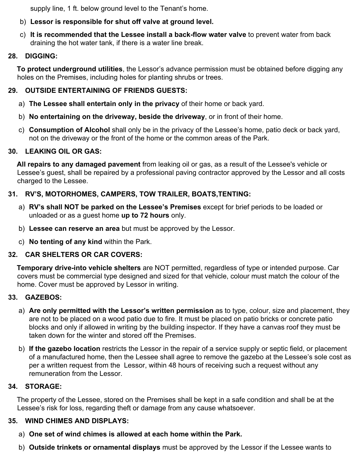supply line, 1 ft. below ground level to the Tenant's home.

- b) **Lessor is responsible for shut off valve at ground level.**
- c) **It is recommended that the Lessee install a back-flow water valve** to prevent water from back draining the hot water tank, if there is a water line break.

# **28. DIGGING:**

**To protect underground utilities**, the Lessor's advance permission must be obtained before digging any holes on the Premises, including holes for planting shrubs or trees.

# **29. OUTSIDE ENTERTAINING OF FRIENDS GUESTS:**

- a) **The Lessee shall entertain only in the privacy** of their home or back yard.
- b) **No entertaining on the driveway, beside the driveway**, or in front of their home.
- c) **Consumption of Alcohol** shall only be in the privacy of the Lessee's home, patio deck or back yard, not on the driveway or the front of the home or the common areas of the Park.

# **30. LEAKING OIL OR GAS:**

**All repairs to any damaged pavement** from leaking oil or gas, as a result of the Lessee's vehicle or Lessee's guest, shall be repaired by a professional paving contractor approved by the Lessor and all costs charged to the Lessee.

# **31. RV'S, MOTORHOMES, CAMPERS, TOW TRAILER, BOATS,TENTING:**

- a) **RV's shall NOT be parked on the Lessee's Premises** except for brief periods to be loaded or unloaded or as a guest home **up to 72 hours** only.
- b) **Lessee can reserve an area** but must be approved by the Lessor.
- c) **No tenting of any kind** within the Park.

# **32. CAR SHELTERS OR CAR COVERS:**

**Temporary drive-into vehicle shelters** are NOT permitted, regardless of type or intended purpose. Car covers must be commercial type designed and sized for that vehicle, colour must match the colour of the home. Cover must be approved by Lessor in writing.

# **33. GAZEBOS:**

- a) **Are only permitted with the Lessor's written permission** as to type, colour, size and placement, they are not to be placed on a wood patio due to fire. It must be placed on patio bricks or concrete patio blocks and only if allowed in writing by the building inspector. If they have a canvas roof they must be taken down for the winter and stored off the Premises.
- b) **If the gazebo location** restricts the Lessor in the repair of a service supply or septic field, or placement of a manufactured home, then the Lessee shall agree to remove the gazebo at the Lessee's sole cost as per a written request from the Lessor, within 48 hours of receiving such a request without any remuneration from the Lessor.

# **34. STORAGE:**

The property of the Lessee, stored on the Premises shall be kept in a safe condition and shall be at the Lessee's risk for loss, regarding theft or damage from any cause whatsoever.

# **35. WIND CHIMES AND DISPLAYS:**

- a) **One set of wind chimes is allowed at each home within the Park.**
- b) **Outside trinkets or ornamental displays** must be approved by the Lessor if the Lessee wants to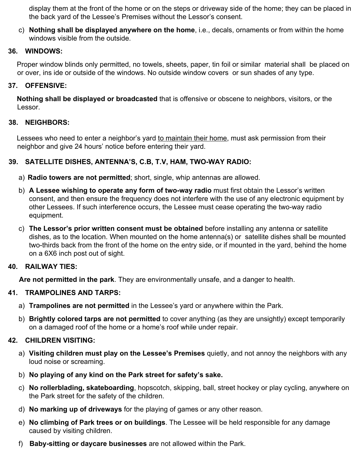display them at the front of the home or on the steps or driveway side of the home; they can be placed in the back yard of the Lessee's Premises without the Lessor's consent.

c) **Nothing shall be displayed anywhere on the home**, i.e., decals, ornaments or from within the home windows visible from the outside.

#### **36. WINDOWS:**

Proper window blinds only permitted, no towels, sheets, paper, tin foil or similar material shall be placed on or over, ins ide or outside of the windows. No outside window covers or sun shades of any type.

#### **37. OFFENSIVE:**

**Nothing shall be displayed or broadcasted** that is offensive or obscene to neighbors, visitors, or the Lessor.

### **38. NEIGHBORS:**

Lessees who need to enter a neighbor's yard to maintain their home, must ask permission from their neighbor and give 24 hours' notice before entering their yard.

# **39. SATELLITE DISHES, ANTENNA'S, C.B, T.V, HAM, TWO-WAY RADIO:**

- a) **Radio towers are not permitted**; short, single, whip antennas are allowed.
- b) **A Lessee wishing to operate any form of two-way radio** must first obtain the Lessor's written consent, and then ensure the frequency does not interfere with the use of any electronic equipment by other Lessees. If such interference occurs, the Lessee must cease operating the two-way radio equipment.
- c) **The Lessor's prior written consent must be obtained** before installing any antenna or satellite dishes, as to the location. When mounted on the home antenna(s) or satellite dishes shall be mounted two-thirds back from the front of the home on the entry side, or if mounted in the yard, behind the home on a 6X6 inch post out of sight.

#### **40. RAILWAY TIES:**

**Are not permitted in the park**. They are environmentally unsafe, and a danger to health.

# **41. TRAMPOLINES AND TARPS:**

- a) **Trampolines are not permitted** in the Lessee's yard or anywhere within the Park.
- b) **Brightly colored tarps are not permitted** to cover anything (as they are unsightly) except temporarily on a damaged roof of the home or a home's roof while under repair.

# **42. CHILDREN VISITING:**

- a) **Visiting children must play on the Lessee's Premises** quietly, and not annoy the neighbors with any loud noise or screaming.
- b) **No playing of any kind on the Park street for safety's sake.**
- c) **No rollerblading, skateboarding**, hopscotch, skipping, ball, street hockey or play cycling, anywhere on the Park street for the safety of the children.
- d) **No marking up of driveways** for the playing of games or any other reason.
- e) **No climbing of Park trees or on buildings**. The Lessee will be held responsible for any damage caused by visiting children.
- f) **Baby-sitting or daycare businesses** are not allowed within the Park.